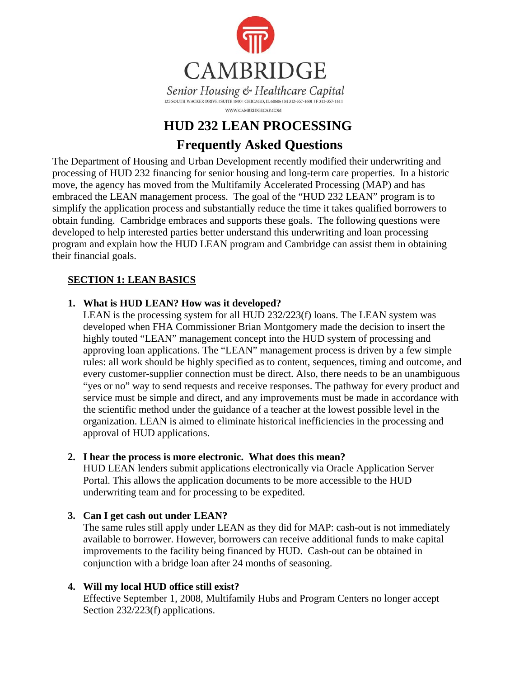

# **HUD 232 LEAN PROCESSING Frequently Asked Questions**

The Department of Housing and Urban Development recently modified their underwriting and processing of HUD 232 financing for senior housing and long-term care properties. In a historic move, the agency has moved from the Multifamily Accelerated Processing (MAP) and has embraced the LEAN management process. The goal of the "HUD 232 LEAN" program is to simplify the application process and substantially reduce the time it takes qualified borrowers to obtain funding. Cambridge embraces and supports these goals. The following questions were developed to help interested parties better understand this underwriting and loan processing program and explain how the HUD LEAN program and Cambridge can assist them in obtaining their financial goals.

#### **SECTION 1: LEAN BASICS**

#### **1. What is HUD LEAN? How was it developed?**

LEAN is the processing system for all HUD 232/223(f) loans. The LEAN system was developed when FHA Commissioner Brian Montgomery made the decision to insert the highly touted "LEAN" management concept into the HUD system of processing and approving loan applications. The "LEAN" management process is driven by a few simple rules: all work should be highly specified as to content, sequences, timing and outcome, and every customer-supplier connection must be direct. Also, there needs to be an unambiguous "yes or no" way to send requests and receive responses. The pathway for every product and service must be simple and direct, and any improvements must be made in accordance with the scientific method under the guidance of a teacher at the lowest possible level in the organization. LEAN is aimed to eliminate historical inefficiencies in the processing and approval of HUD applications.

#### **2. I hear the process is more electronic. What does this mean?**

HUD LEAN lenders submit applications electronically via Oracle Application Server Portal. This allows the application documents to be more accessible to the HUD underwriting team and for processing to be expedited.

## **3. Can I get cash out under LEAN?**

The same rules still apply under LEAN as they did for MAP: cash-out is not immediately available to borrower. However, borrowers can receive additional funds to make capital improvements to the facility being financed by HUD. Cash-out can be obtained in conjunction with a bridge loan after 24 months of seasoning.

## **4. Will my local HUD office still exist?**

Effective September 1, 2008, Multifamily Hubs and Program Centers no longer accept Section 232/223(f) applications.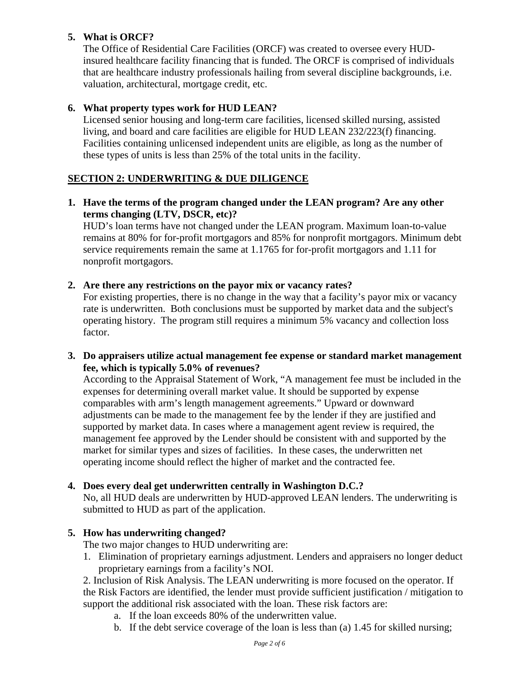#### **5. What is ORCF?**

The Office of Residential Care Facilities (ORCF) was created to oversee every HUDinsured healthcare facility financing that is funded. The ORCF is comprised of individuals that are healthcare industry professionals hailing from several discipline backgrounds, i.e. valuation, architectural, mortgage credit, etc.

#### **6. What property types work for HUD LEAN?**

Licensed senior housing and long-term care facilities, licensed skilled nursing, assisted living, and board and care facilities are eligible for HUD LEAN 232/223(f) financing. Facilities containing unlicensed independent units are eligible, as long as the number of these types of units is less than 25% of the total units in the facility.

#### **SECTION 2: UNDERWRITING & DUE DILIGENCE**

**1. Have the terms of the program changed under the LEAN program? Are any other terms changing (LTV, DSCR, etc)?** 

HUD's loan terms have not changed under the LEAN program. Maximum loan-to-value remains at 80% for for-profit mortgagors and 85% for nonprofit mortgagors. Minimum debt service requirements remain the same at 1.1765 for for-profit mortgagors and 1.11 for nonprofit mortgagors.

**2. Are there any restrictions on the payor mix or vacancy rates?** 

For existing properties, there is no change in the way that a facility's payor mix or vacancy rate is underwritten. Both conclusions must be supported by market data and the subject's operating history. The program still requires a minimum 5% vacancy and collection loss factor.

**3. Do appraisers utilize actual management fee expense or standard market management fee, which is typically 5.0% of revenues?** 

According to the Appraisal Statement of Work, "A management fee must be included in the expenses for determining overall market value. It should be supported by expense comparables with arm's length management agreements." Upward or downward adjustments can be made to the management fee by the lender if they are justified and supported by market data. In cases where a management agent review is required, the management fee approved by the Lender should be consistent with and supported by the market for similar types and sizes of facilities. In these cases, the underwritten net operating income should reflect the higher of market and the contracted fee.

#### **4. Does every deal get underwritten centrally in Washington D.C.?**

No, all HUD deals are underwritten by HUD-approved LEAN lenders. The underwriting is submitted to HUD as part of the application.

#### **5. How has underwriting changed?**

The two major changes to HUD underwriting are:

1. Elimination of proprietary earnings adjustment. Lenders and appraisers no longer deduct proprietary earnings from a facility's NOI.

2. Inclusion of Risk Analysis. The LEAN underwriting is more focused on the operator. If the Risk Factors are identified, the lender must provide sufficient justification / mitigation to support the additional risk associated with the loan. These risk factors are:

- a. If the loan exceeds 80% of the underwritten value.
- b. If the debt service coverage of the loan is less than (a) 1.45 for skilled nursing;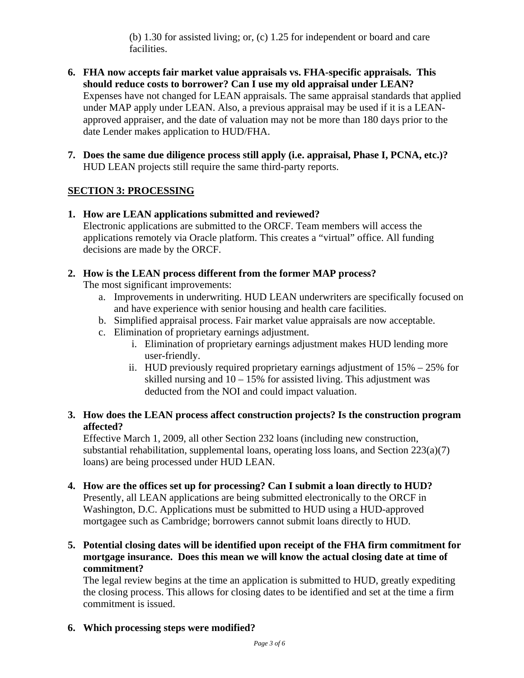(b) 1.30 for assisted living; or, (c) 1.25 for independent or board and care facilities.

- **6. FHA now accepts fair market value appraisals vs. FHA-specific appraisals. This should reduce costs to borrower? Can I use my old appraisal under LEAN?**  Expenses have not changed for LEAN appraisals. The same appraisal standards that applied under MAP apply under LEAN. Also, a previous appraisal may be used if it is a LEANapproved appraiser, and the date of valuation may not be more than 180 days prior to the date Lender makes application to HUD/FHA.
- **7. Does the same due diligence process still apply (i.e. appraisal, Phase I, PCNA, etc.)?**  HUD LEAN projects still require the same third-party reports.

## **SECTION 3: PROCESSING**

- **1. How are LEAN applications submitted and reviewed?**  Electronic applications are submitted to the ORCF. Team members will access the applications remotely via Oracle platform. This creates a "virtual" office. All funding decisions are made by the ORCF.
- **2. How is the LEAN process different from the former MAP process?**

The most significant improvements:

- a. Improvements in underwriting. HUD LEAN underwriters are specifically focused on and have experience with senior housing and health care facilities.
- b. Simplified appraisal process. Fair market value appraisals are now acceptable.
- c. Elimination of proprietary earnings adjustment.
	- i. Elimination of proprietary earnings adjustment makes HUD lending more user-friendly.
	- ii. HUD previously required proprietary earnings adjustment of  $15\% 25\%$  for skilled nursing and  $10 - 15\%$  for assisted living. This adjustment was deducted from the NOI and could impact valuation.

#### **3. How does the LEAN process affect construction projects? Is the construction program affected?**

Effective March 1, 2009, all other Section 232 loans (including new construction, substantial rehabilitation, supplemental loans, operating loss loans, and Section 223(a)(7) loans) are being processed under HUD LEAN.

- **4. How are the offices set up for processing? Can I submit a loan directly to HUD?**  Presently, all LEAN applications are being submitted electronically to the ORCF in Washington, D.C. Applications must be submitted to HUD using a HUD-approved mortgagee such as Cambridge; borrowers cannot submit loans directly to HUD.
- **5. Potential closing dates will be identified upon receipt of the FHA firm commitment for mortgage insurance. Does this mean we will know the actual closing date at time of commitment?**

The legal review begins at the time an application is submitted to HUD, greatly expediting the closing process. This allows for closing dates to be identified and set at the time a firm commitment is issued.

**6. Which processing steps were modified?**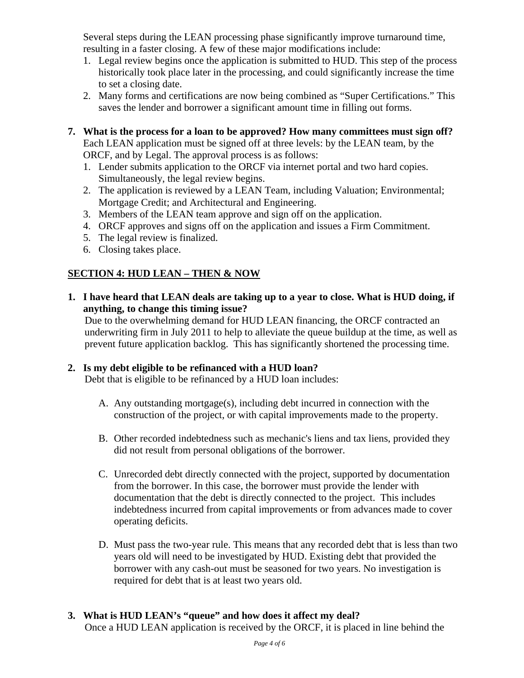Several steps during the LEAN processing phase significantly improve turnaround time, resulting in a faster closing. A few of these major modifications include:

- 1. Legal review begins once the application is submitted to HUD. This step of the process historically took place later in the processing, and could significantly increase the time to set a closing date.
- 2. Many forms and certifications are now being combined as "Super Certifications." This saves the lender and borrower a significant amount time in filling out forms.
- **7. What is the process for a loan to be approved? How many committees must sign off?**  Each LEAN application must be signed off at three levels: by the LEAN team, by the ORCF, and by Legal. The approval process is as follows:
	- 1. Lender submits application to the ORCF via internet portal and two hard copies. Simultaneously, the legal review begins.
	- 2. The application is reviewed by a LEAN Team, including Valuation; Environmental; Mortgage Credit; and Architectural and Engineering.
	- 3. Members of the LEAN team approve and sign off on the application.
	- 4. ORCF approves and signs off on the application and issues a Firm Commitment.
	- 5. The legal review is finalized.
	- 6. Closing takes place.

# **SECTION 4: HUD LEAN – THEN & NOW**

**1. I have heard that LEAN deals are taking up to a year to close. What is HUD doing, if anything, to change this timing issue?** 

Due to the overwhelming demand for HUD LEAN financing, the ORCF contracted an underwriting firm in July 2011 to help to alleviate the queue buildup at the time, as well as prevent future application backlog. This has significantly shortened the processing time.

## **2. Is my debt eligible to be refinanced with a HUD loan?**

Debt that is eligible to be refinanced by a HUD loan includes:

- A. Any outstanding mortgage(s), including debt incurred in connection with the construction of the project, or with capital improvements made to the property.
- B. Other recorded indebtedness such as mechanic's liens and tax liens, provided they did not result from personal obligations of the borrower.
- C. Unrecorded debt directly connected with the project, supported by documentation from the borrower. In this case, the borrower must provide the lender with documentation that the debt is directly connected to the project. This includes indebtedness incurred from capital improvements or from advances made to cover operating deficits.
- D. Must pass the two-year rule. This means that any recorded debt that is less than two years old will need to be investigated by HUD. Existing debt that provided the borrower with any cash-out must be seasoned for two years. No investigation is required for debt that is at least two years old.

# **3. What is HUD LEAN's "queue" and how does it affect my deal?**

Once a HUD LEAN application is received by the ORCF, it is placed in line behind the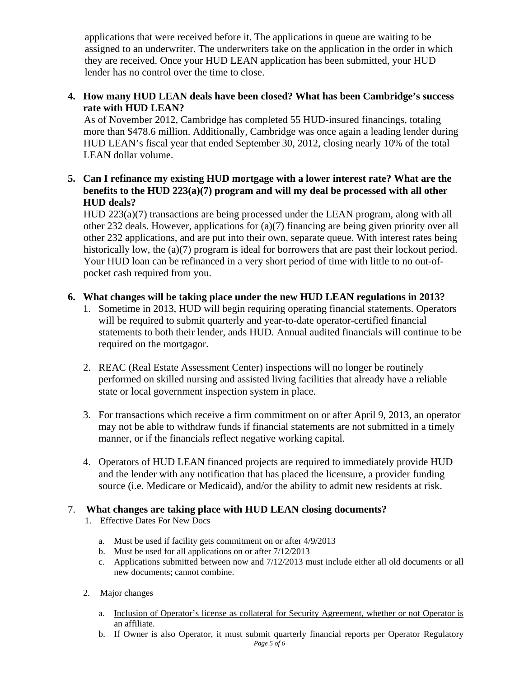applications that were received before it. The applications in queue are waiting to be assigned to an underwriter. The underwriters take on the application in the order in which they are received. Once your HUD LEAN application has been submitted, your HUD lender has no control over the time to close.

#### **4. How many HUD LEAN deals have been closed? What has been Cambridge's success rate with HUD LEAN?**

As of November 2012, Cambridge has completed 55 HUD-insured financings, totaling more than \$478.6 million. Additionally, Cambridge was once again a leading lender during HUD LEAN's fiscal year that ended September 30, 2012, closing nearly 10% of the total LEAN dollar volume.

#### **5. Can I refinance my existing HUD mortgage with a lower interest rate? What are the benefits to the HUD 223(a)(7) program and will my deal be processed with all other HUD deals?**

HUD 223(a)(7) transactions are being processed under the LEAN program, along with all other 232 deals. However, applications for (a)(7) financing are being given priority over all other 232 applications, and are put into their own, separate queue. With interest rates being historically low, the (a)(7) program is ideal for borrowers that are past their lockout period. Your HUD loan can be refinanced in a very short period of time with little to no out-ofpocket cash required from you.

#### **6. What changes will be taking place under the new HUD LEAN regulations in 2013?**

- 1. Sometime in 2013, HUD will begin requiring operating financial statements. Operators will be required to submit quarterly and year-to-date operator-certified financial statements to both their lender, ands HUD. Annual audited financials will continue to be required on the mortgagor.
- 2. REAC (Real Estate Assessment Center) inspections will no longer be routinely performed on skilled nursing and assisted living facilities that already have a reliable state or local government inspection system in place.
- 3. For transactions which receive a firm commitment on or after April 9, 2013, an operator may not be able to withdraw funds if financial statements are not submitted in a timely manner, or if the financials reflect negative working capital.
- 4. Operators of HUD LEAN financed projects are required to immediately provide HUD and the lender with any notification that has placed the licensure, a provider funding source (i.e. Medicare or Medicaid), and/or the ability to admit new residents at risk.

#### 7. **What changes are taking place with HUD LEAN closing documents?**

- 1. Effective Dates For New Docs
	- a. Must be used if facility gets commitment on or after 4/9/2013
	- b. Must be used for all applications on or after 7/12/2013
	- c. Applications submitted between now and 7/12/2013 must include either all old documents or all new documents; cannot combine.
- 2. Major changes
	- a. Inclusion of Operator's license as collateral for Security Agreement, whether or not Operator is an affiliate.
	- b. If Owner is also Operator, it must submit quarterly financial reports per Operator Regulatory